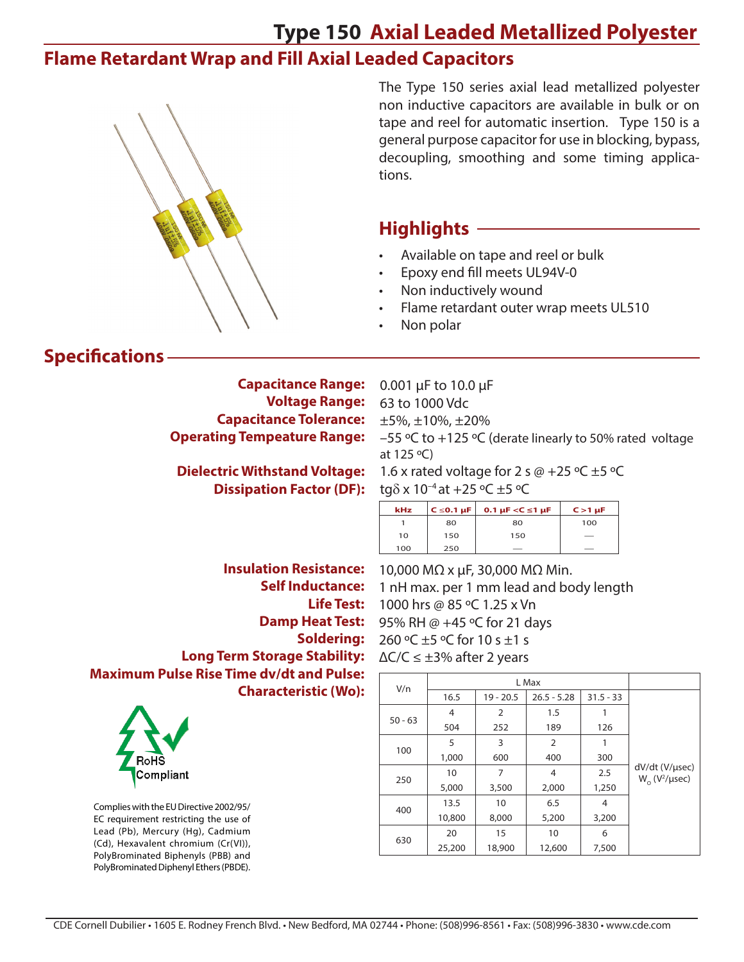## **Type 150 Axial Leaded Metallized Polyester**

### **Flame Retardant Wrap and Fill Axial Leaded Capacitors**



The Type 150 series axial lead metallized polyester non inductive capacitors are available in bulk or on tape and reel for automatic insertion. Type 150 is a general purpose capacitor for use in blocking, bypass, decoupling, smoothing and some timing applications.

#### **Highlights**

- Available on tape and reel or bulk
- Epoxy end fill meets UL94V-0
- Non inductively wound
- Flame retardant outer wrap meets UL510
- Non polar

#### **Specifications**

**Capacitance Range: Voltage Range: Capacitance Tolerance: Operating Tempeature Range:**

**Dielectric Withstand Voltage: Dissipation Factor (DF):** 

**Insulation Resistance: Self Inductance: Life Test: Damp Heat Test: Soldering: Long Term Storage Stability: Maximum Pulse Rise Time dv/dt and Pulse: Characteristic (Wo):** 



Complies with the EU Directive 2002/95/ EC requirement restricting the use of Lead (Pb), Mercury (Hg), Cadmium (Cd), Hexavalent chromium (Cr(VI)), PolyBrominated Biphenyls (PBB) and PolyBrominated Diphenyl Ethers (PBDE). 0.001 µF to 10.0 µF 63 to 1000 Vdc ±5%, ±10%, ±20% –55 ºC to +125 ºC (derate linearly to 50% rated voltage at 125 ºC)

1.6 x rated voltage for 2 s  $\omega$  +25 °C ±5 °C tg $\delta$  x 10<sup>-4</sup> at +25 °C ±5 °C

| kHz | $C \le 0.1 \mu F$ | 0.1 $\mu$ F <c <math="" ≤1="">\muF</c> | $C > 1$ $\mu$ F |
|-----|-------------------|----------------------------------------|-----------------|
|     | 80                | 80                                     | 100             |
| 10  | 150               | 150                                    | _               |
| 100 | 250               |                                        |                 |

10,000 MΩ x µF, 30,000 MΩ Min. 1 nH max. per 1 mm lead and body length 1000 hrs @ 85 ºC 1.25 x Vn 95% RH @ +45 ºC for 21 days 260 ºC ±5 ºC for 10 s ±1 s  $\Delta$ C/C  $\leq \pm 3\%$  after 2 years

| V/n       |        |                |                |             |                                                |  |  |  |
|-----------|--------|----------------|----------------|-------------|------------------------------------------------|--|--|--|
|           | 16.5   | $19 - 20.5$    | $26.5 - 5.28$  | $31.5 - 33$ |                                                |  |  |  |
| $50 - 63$ | 4      | $\overline{2}$ | 1.5            |             |                                                |  |  |  |
|           | 504    | 252            | 189            | 126         |                                                |  |  |  |
| 100       | 5      | 3              | $\overline{2}$ |             |                                                |  |  |  |
|           | 1,000  | 600            | 400            | 300         |                                                |  |  |  |
|           | 10     | 7              | 4              | 2.5         | dV/dt (V/µsec)<br>$W_0$ (V <sup>2</sup> /µsec) |  |  |  |
| 250       | 5,000  | 3,500          | 2,000          | 1,250       |                                                |  |  |  |
| 400       | 13.5   | 10             | 6.5            | 4           |                                                |  |  |  |
|           | 10,800 | 8,000          | 5,200          | 3,200       |                                                |  |  |  |
| 630       | 20     | 15             | 10             | 6           |                                                |  |  |  |
|           | 25,200 | 18,900         | 12,600         | 7,500       |                                                |  |  |  |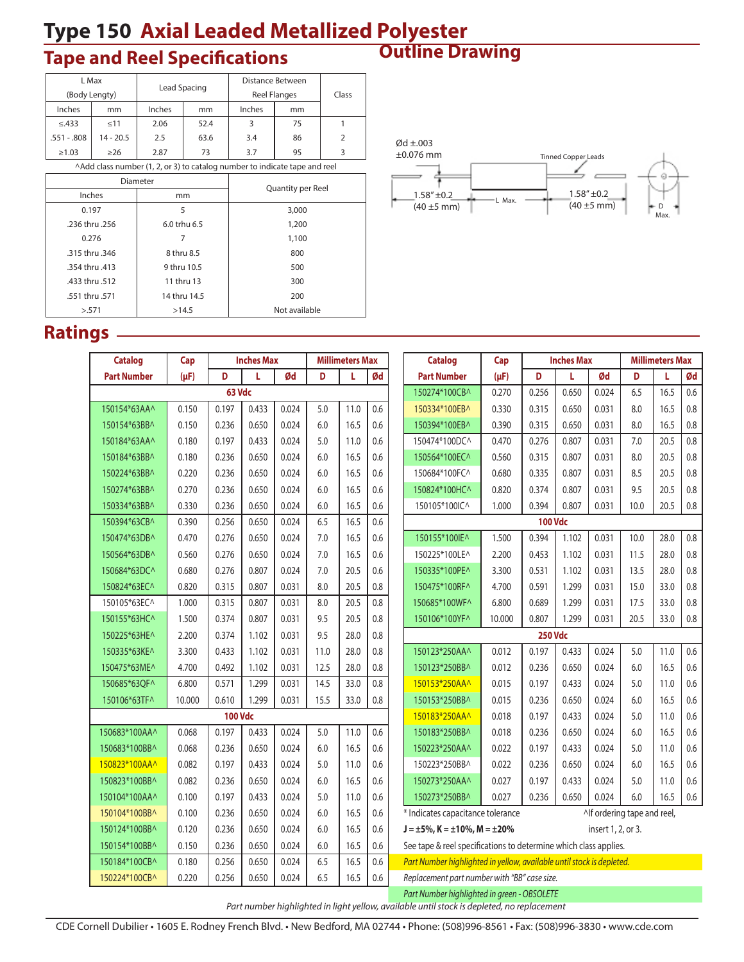# **Type 150 Axial Leaded Metallized Polyester<br>
Tape and Reel Specifications Cutline Drawing**

# **Outline Drawing Tape and Reel Specifications**

|                                                                            | L Max         |        |              | Distance Between    |       |               |  |  |
|----------------------------------------------------------------------------|---------------|--------|--------------|---------------------|-------|---------------|--|--|
|                                                                            | (Body Lengty) |        | Lead Spacing | <b>Reel Flanges</b> | Class |               |  |  |
| Inches                                                                     | mm            | Inches | mm           | Inches              | mm    |               |  |  |
| $\leq$ .433                                                                | < 11          | 2.06   | 52.4         | 3                   | 75    |               |  |  |
| $.551 - .808$                                                              | $14 - 20.5$   | 2.5    | 63.6         | 3.4                 | 86    | $\mathcal{P}$ |  |  |
| $\geq 1.03$                                                                | $\geq$ 26     | 2.87   | 73           | 3.7                 | 95    |               |  |  |
| ^Add class number (1, 2, or 3) to catalog number to indicate tape and reel |               |        |              |                     |       |               |  |  |
|                                                                            |               |        |              |                     |       |               |  |  |

|                | Diameter     | Quantity per Reel |  |  |  |  |  |
|----------------|--------------|-------------------|--|--|--|--|--|
| Inches         | mm           |                   |  |  |  |  |  |
| 0.197          | 5            | 3,000             |  |  |  |  |  |
| .236 thru .256 | 6.0 trhu 6.5 | 1,200             |  |  |  |  |  |
| 0.276          |              | 1,100             |  |  |  |  |  |
| .315 thru .346 | 8 thru 8.5   | 800               |  |  |  |  |  |
| .354 thru .413 | 9 thru 10.5  | 500               |  |  |  |  |  |
| .433 thru .512 | 11 thru 13   | 300               |  |  |  |  |  |
| .551 thru .571 | 14 thru 14.5 | 200               |  |  |  |  |  |
| > 571          | >14.5        | Not available     |  |  |  |  |  |



Max.

#### **Ratings**

| <b>Catalog</b>                                                                             | Cap       |                | <b>Inches Max</b> |       | <b>Millimeters Max</b> |      |     | <b>Catalog</b>                                                        | Cap       |                | <b>Inches Max</b> |                             | <b>Millimeters Max</b> |      |         |
|--------------------------------------------------------------------------------------------|-----------|----------------|-------------------|-------|------------------------|------|-----|-----------------------------------------------------------------------|-----------|----------------|-------------------|-----------------------------|------------------------|------|---------|
| <b>Part Number</b>                                                                         | $(\mu F)$ | D              | L                 | Ød    | D                      | L    | Ød  | <b>Part Number</b>                                                    | $(\mu F)$ | D              | L                 | Ød                          | D                      | L    | Ød      |
|                                                                                            |           | 63 Vdc         |                   |       |                        |      |     | 150274*100CB^                                                         | 0.270     | 0.256          | 0.650             | 0.024                       | 6.5                    | 16.5 | 0.6     |
| 150154*63AA^                                                                               | 0.150     | 0.197          | 0.433             | 0.024 | $5.0$                  | 11.0 | 0.6 | 150334*100EB^                                                         | 0.330     | 0.315          | 0.650             | 0.031                       | 8.0                    | 16.5 | 0.8     |
| 150154*63BB^                                                                               | 0.150     | 0.236          | 0.650             | 0.024 | 6.0                    | 16.5 | 0.6 | 150394*100EB^                                                         | 0.390     | 0.315          | 0.650             | 0.031                       | 8.0                    | 16.5 | 0.8     |
| 150184*63AA^                                                                               | 0.180     | 0.197          | 0.433             | 0.024 | 5.0                    | 11.0 | 0.6 | 150474*100DC^                                                         | 0.470     | 0.276          | 0.807             | 0.031                       | 7.0                    | 20.5 | 0.8     |
| 150184*63BB^                                                                               | 0.180     | 0.236          | 0.650             | 0.024 | 6.0                    | 16.5 | 0.6 | 150564*100EC^                                                         | 0.560     | 0.315          | 0.807             | 0.031                       | 8.0                    | 20.5 | 0.8     |
| 150224*63BB^                                                                               | 0.220     | 0.236          | 0.650             | 0.024 | 6.0                    | 16.5 | 0.6 | 150684*100FC^                                                         | 0.680     | 0.335          | 0.807             | 0.031                       | 8.5                    | 20.5 | 0.8     |
| 150274*63BB^                                                                               | 0.270     | 0.236          | 0.650             | 0.024 | 6.0                    | 16.5 | 0.6 | 150824*100HC^                                                         | 0.820     | 0.374          | 0.807             | 0.031                       | 9.5                    | 20.5 | 0.8     |
| 150334*63BB^                                                                               | 0.330     | 0.236          | 0.650             | 0.024 | 6.0                    | 16.5 | 0.6 | 150105*100IC^                                                         | 1.000     | 0.394          | 0.807             | 0.031                       | 10.0                   | 20.5 | 0.8     |
| 150394*63CB^                                                                               | 0.390     | 0.256          | 0.650             | 0.024 | 6.5                    | 16.5 | 0.6 |                                                                       |           | <b>100 Vdc</b> |                   |                             |                        |      |         |
| 150474*63DB^                                                                               | 0.470     | 0.276          | 0.650             | 0.024 | $7.0$                  | 16.5 | 0.6 | 150155*100IE^                                                         | 1.500     | 0.394          | 1.102             | 0.031                       | 10.0                   | 28.0 | $0.8\,$ |
| 150564*63DB^                                                                               | 0.560     | 0.276          | 0.650             | 0.024 | 7.0                    | 16.5 | 0.6 | 150225*100LE^                                                         | 2.200     | 0.453          | 1.102             | 0.031                       | 11.5                   | 28.0 | 0.8     |
| 150684*63DC^                                                                               | 0.680     | 0.276          | 0.807             | 0.024 | 7.0                    | 20.5 | 0.6 | 150335*100PE^                                                         | 3.300     | 0.531          | 1.102             | 0.031                       | 13.5                   | 28.0 | 0.8     |
| 150824*63EC^                                                                               | 0.820     | 0.315          | 0.807             | 0.031 | 8.0                    | 20.5 | 0.8 | 150475*100RF^                                                         | 4.700     | 0.591          | 1.299             | 0.031                       | 15.0                   | 33.0 | 0.8     |
| 150105*63EC^                                                                               | 1.000     | 0.315          | 0.807             | 0.031 | 8.0                    | 20.5 | 0.8 | 150685*100WF^                                                         | 6.800     | 0.689          | 1.299             | 0.031                       | 17.5                   | 33.0 | 0.8     |
| 150155*63HC^                                                                               | 1.500     | 0.374          | 0.807             | 0.031 | 9.5                    | 20.5 | 0.8 | 150106*100YF^                                                         | 10.000    | 0.807          | 1.299             | 0.031                       | 20.5                   | 33.0 | $0.8\,$ |
| 150225*63HE^                                                                               | 2.200     | 0.374          | 1.102             | 0.031 | 9.5                    | 28.0 | 0.8 |                                                                       |           | <b>250 Vdc</b> |                   |                             |                        |      |         |
| 150335*63KE^                                                                               | 3.300     | 0.433          | 1.102             | 0.031 | 11.0                   | 28.0 | 0.8 | 150123*250AA^                                                         | 0.012     | 0.197          | 0.433             | 0.024                       | 5.0                    | 11.0 | 0.6     |
| 150475*63ME^                                                                               | 4.700     | 0.492          | 1.102             | 0.031 | 12.5                   | 28.0 | 0.8 | 150123*250BB^                                                         | 0.012     | 0.236          | 0.650             | 0.024                       | 6.0                    | 16.5 | 0.6     |
| 150685*63OF^                                                                               | 6.800     | 0.571          | 1.299             | 0.031 | 14.5                   | 33.0 | 0.8 | 150153*250AA^                                                         | 0.015     | 0.197          | 0.433             | 0.024                       | 5.0                    | 11.0 | 0.6     |
| 150106*63TF^                                                                               | 10.000    | 0.610          | 1.299             | 0.031 | 15.5                   | 33.0 | 0.8 | 150153*250BB^                                                         | 0.015     | 0.236          | 0.650             | 0.024                       | 6.0                    | 16.5 | 0.6     |
|                                                                                            |           | <b>100 Vdc</b> |                   |       |                        |      |     | 150183*250AA^                                                         | 0.018     | 0.197          | 0.433             | 0.024                       | 5.0                    | 11.0 | 0.6     |
| 150683*100AA^                                                                              | 0.068     | 0.197          | 0.433             | 0.024 | 5.0                    | 11.0 | 0.6 | 150183*250BB^                                                         | 0.018     | 0.236          | 0.650             | 0.024                       | 6.0                    | 16.5 | 0.6     |
| 150683*100BB^                                                                              | 0.068     | 0.236          | 0.650             | 0.024 | 6.0                    | 16.5 | 0.6 | 150223*250AA^                                                         | 0.022     | 0.197          | 0.433             | 0.024                       | 5.0                    | 11.0 | 0.6     |
| 150823*100AA^                                                                              | 0.082     | 0.197          | 0.433             | 0.024 | 5.0                    | 11.0 | 0.6 | 150223*250BB^                                                         | 0.022     | 0.236          | 0.650             | 0.024                       | 6.0                    | 16.5 | 0.6     |
| 150823*100BB^                                                                              | 0.082     | 0.236          | 0.650             | 0.024 | 6.0                    | 16.5 | 0.6 | 150273*250AA^                                                         | 0.027     | 0.197          | 0.433             | 0.024                       | 5.0                    | 11.0 | 0.6     |
| 150104*100AA^                                                                              | 0.100     | 0.197          | 0.433             | 0.024 | 5.0                    | 11.0 | 0.6 | 150273*250BB^                                                         | 0.027     | 0.236          | 0.650             | 0.024                       | 6.0                    | 16.5 | $0.6\,$ |
| 150104*100BB^                                                                              | 0.100     | 0.236          | 0.650             | 0.024 | 6.0                    | 16.5 | 0.6 | * Indicates capacitance tolerance                                     |           |                |                   | ^If ordering tape and reel, |                        |      |         |
| 150124*100BB^                                                                              | 0.120     | 0.236          | 0.650             | 0.024 | 6.0                    | 16.5 | 0.6 | $J = \pm 5\%$ , K = $\pm 10\%$ , M = $\pm 20\%$                       |           |                |                   | insert 1, 2, or 3.          |                        |      |         |
| 150154*100BB^                                                                              | 0.150     | 0.236          | 0.650             | 0.024 | 6.0                    | 16.5 | 0.6 | See tape & reel specifications to determine which class applies.      |           |                |                   |                             |                        |      |         |
| 150184*100CB^                                                                              | 0.180     | 0.256          | 0.650             | 0.024 | 6.5                    | 16.5 | 0.6 | Part Number highlighted in yellow, available until stock is depleted. |           |                |                   |                             |                        |      |         |
| 150224*100CB^                                                                              | 0.220     | 0.256          | 0.650             | 0.024 | 6.5                    | 16.5 | 0.6 | Replacement part number with "BB" case size.                          |           |                |                   |                             |                        |      |         |
|                                                                                            |           |                |                   |       |                        |      |     | Part Number highlighted in green - OBSOLETE                           |           |                |                   |                             |                        |      |         |
| Part number highlighted in light yellow, available until stock is depleted, no replacement |           |                |                   |       |                        |      |     |                                                                       |           |                |                   |                             |                        |      |         |

CDE Cornell Dubilier • 1605 E. Rodney French Blvd. • New Bedford, MA 02744 • Phone: (508)996-8561 • Fax: (508)996-3830 • www.cde.com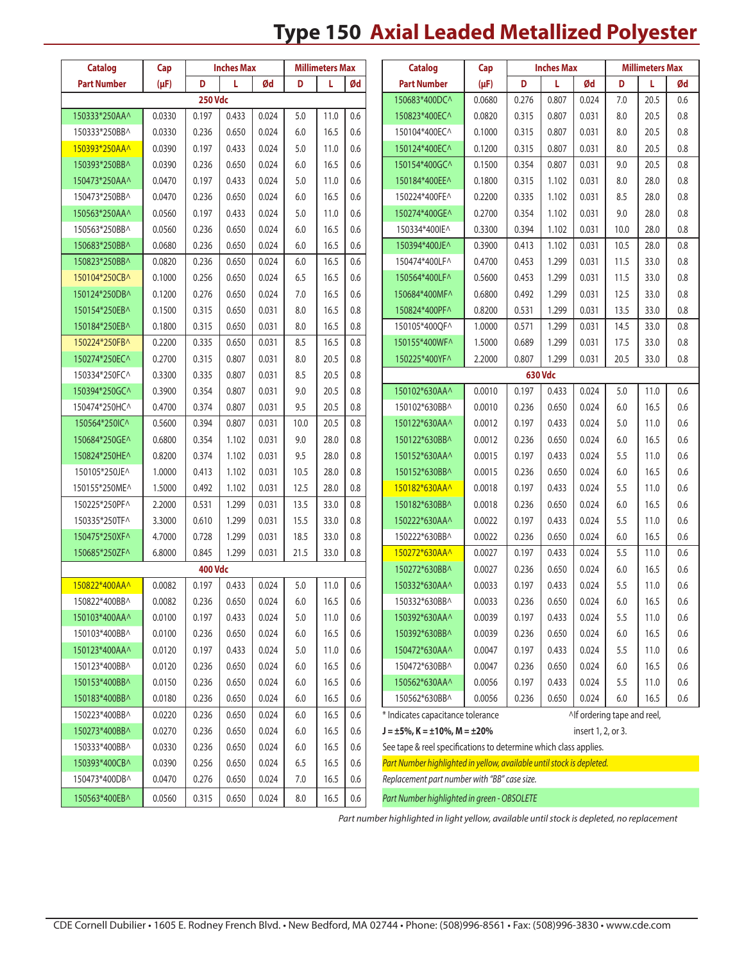# **Type 150 Axial Leaded Metallized Polyester**

| <b>Catalog</b>     | Cap       |                | <b>Inches Max</b> |       |         | <b>Millimeters Max</b> |     | <b>Catalog</b>                                                        | Cap<br><b>Inches Max</b> |       |         | <b>Millimeters Max</b>      |         |      |         |
|--------------------|-----------|----------------|-------------------|-------|---------|------------------------|-----|-----------------------------------------------------------------------|--------------------------|-------|---------|-----------------------------|---------|------|---------|
| <b>Part Number</b> | $(\mu F)$ | D              | L                 | Ød    | D       | L                      | Ød  | <b>Part Number</b>                                                    | $(\mu F)$                | D     | L       | Ød                          | D       | L    | Ød      |
|                    |           | <b>250 Vdc</b> |                   |       |         |                        |     | 150683*400DC^                                                         | 0.0680                   | 0.276 | 0.807   | 0.024                       | 7.0     | 20.5 | 0.6     |
| 150333*250AA^      | 0.0330    | 0.197          | 0.433             | 0.024 | 5.0     | 11.0                   | 0.6 | 150823*400EC^                                                         | 0.0820                   | 0.315 | 0.807   | 0.031                       | 8.0     | 20.5 | 0.8     |
| 150333*250BB^      | 0.0330    | 0.236          | 0.650             | 0.024 | 6.0     | 16.5                   | 0.6 | 150104*400EC^                                                         | 0.1000                   | 0.315 | 0.807   | 0.031                       | 8.0     | 20.5 | 0.8     |
| 150393*250AA^      | 0.0390    | 0.197          | 0.433             | 0.024 | 5.0     | 11.0                   | 0.6 | 150124*400EC^                                                         | 0.1200                   | 0.315 | 0.807   | 0.031                       | 8.0     | 20.5 | 0.8     |
| 150393*250BB^      | 0.0390    | 0.236          | 0.650             | 0.024 | 6.0     | 16.5                   | 0.6 | 150154*400GC^                                                         | 0.1500                   | 0.354 | 0.807   | 0.031                       | 9.0     | 20.5 | 0.8     |
| 150473*250AA^      | 0.0470    | 0.197          | 0.433             | 0.024 | 5.0     | 11.0                   | 0.6 | 150184*400EE^                                                         | 0.1800                   | 0.315 | 1.102   | 0.031                       | 8.0     | 28.0 | 0.8     |
| 150473*250BB^      | 0.0470    | 0.236          | 0.650             | 0.024 | 6.0     | 16.5                   | 0.6 | 150224*400FE^                                                         | 0.2200                   | 0.335 | 1.102   | 0.031                       | 8.5     | 28.0 | 0.8     |
| 150563*250AA^      | 0.0560    | 0.197          | 0.433             | 0.024 | 5.0     | 11.0                   | 0.6 | 150274*400GE^                                                         | 0.2700                   | 0.354 | 1.102   | 0.031                       | 9.0     | 28.0 | 0.8     |
| 150563*250BB^      | 0.0560    | 0.236          | 0.650             | 0.024 | 6.0     | 16.5                   | 0.6 | 150334*400IE^                                                         | 0.3300                   | 0.394 | 1.102   | 0.031                       | 10.0    | 28.0 | 0.8     |
| 150683*250BB^      | 0.0680    | 0.236          | 0.650             | 0.024 | 6.0     | 16.5                   | 0.6 | 150394*400JE^                                                         | 0.3900                   | 0.413 | 1.102   | 0.031                       | 10.5    | 28.0 | 0.8     |
| 150823*250BB^      | 0.0820    | 0.236          | 0.650             | 0.024 | 6.0     | 16.5                   | 0.6 | 150474*400LF^                                                         | 0.4700                   | 0.453 | 1.299   | 0.031                       | 11.5    | 33.0 | 0.8     |
| 150104*250CB^      | 0.1000    | 0.256          | 0.650             | 0.024 | 6.5     | 16.5                   | 0.6 | 150564*400LF^                                                         | 0.5600                   | 0.453 | 1.299   | 0.031                       | 11.5    | 33.0 | 0.8     |
| 150124*250DB^      | 0.1200    | 0.276          | 0.650             | 0.024 | 7.0     | 16.5                   | 0.6 | 150684*400MF^                                                         | 0.6800                   | 0.492 | 1.299   | 0.031                       | 12.5    | 33.0 | 0.8     |
| 150154*250EB^      | 0.1500    | 0.315          | 0.650             | 0.031 | 8.0     | 16.5                   | 0.8 | 150824*400PF^                                                         | 0.8200                   | 0.531 | 1.299   | 0.031                       | 13.5    | 33.0 | 0.8     |
| 150184*250EB^      | 0.1800    | 0.315          | 0.650             | 0.031 | 8.0     | 16.5                   | 0.8 | 150105*400QF^                                                         | 1.0000                   | 0.571 | 1.299   | 0.031                       | 14.5    | 33.0 | 0.8     |
| 150224*250FB^      | 0.2200    | 0.335          | 0.650             | 0.031 | 8.5     | 16.5                   | 0.8 | 150155*400WF^                                                         | 1.5000                   | 0.689 | 1.299   | 0.031                       | 17.5    | 33.0 | 0.8     |
| 150274*250EC^      | 0.2700    | 0.315          | 0.807             | 0.031 | 8.0     | 20.5                   | 0.8 | 150225*400YF^                                                         | 2.2000                   | 0.807 | 1.299   | 0.031                       | 20.5    | 33.0 | 0.8     |
| 150334*250FC^      | 0.3300    | 0.335          | 0.807             | 0.031 | 8.5     | 20.5                   | 0.8 |                                                                       |                          |       | 630 Vdc |                             |         |      |         |
| 150394*250GC^      | 0.3900    | 0.354          | 0.807             | 0.031 | 9.0     | 20.5                   | 0.8 | 150102*630AA^                                                         | 0.0010                   | 0.197 | 0.433   | 0.024                       | 5.0     | 11.0 | 0.6     |
| 150474*250HC^      | 0.4700    | 0.374          | 0.807             | 0.031 | 9.5     | 20.5                   | 0.8 | 150102*630BB^                                                         | 0.0010                   | 0.236 | 0.650   | 0.024                       | 6.0     | 16.5 | 0.6     |
| 150564*250IC^      | 0.5600    | 0.394          | 0.807             | 0.031 | 10.0    | 20.5                   | 0.8 | 150122*630AA^                                                         | 0.0012                   | 0.197 | 0.433   | 0.024                       | 5.0     | 11.0 | 0.6     |
| 150684*250GE^      | 0.6800    | 0.354          | 1.102             | 0.031 | 9.0     | 28.0                   | 0.8 | 150122*630BB^                                                         | 0.0012                   | 0.236 | 0.650   | 0.024                       | 6.0     | 16.5 | 0.6     |
| 150824*250HE^      | 0.8200    | 0.374          | 1.102             | 0.031 | 9.5     | 28.0                   | 0.8 | 150152*630AA^                                                         | 0.0015                   | 0.197 | 0.433   | 0.024                       | 5.5     | 11.0 | 0.6     |
| 150105*250JE^      | 1.0000    | 0.413          | 1.102             | 0.031 | 10.5    | 28.0                   | 0.8 | 150152*630BB^                                                         | 0.0015                   | 0.236 | 0.650   | 0.024                       | 6.0     | 16.5 | 0.6     |
| 150155*250ME^      | 1.5000    | 0.492          | 1.102             | 0.031 | 12.5    | 28.0                   | 0.8 | 150182*630AA^                                                         | 0.0018                   | 0.197 | 0.433   | 0.024                       | 5.5     | 11.0 | 0.6     |
| 150225*250PF^      | 2.2000    | 0.531          | 1.299             | 0.031 | 13.5    | 33.0                   | 0.8 | 150182*630BB^                                                         | 0.0018                   | 0.236 | 0.650   | 0.024                       | 6.0     | 16.5 | 0.6     |
| 150335*250TF^      | 3.3000    | 0.610          | 1.299             | 0.031 | 15.5    | 33.0                   | 0.8 | 150222*630AA^                                                         | 0.0022                   | 0.197 | 0.433   | 0.024                       | 5.5     | 11.0 | 0.6     |
| 150475*250XF^      | 4.7000    | 0.728          | 1.299             | 0.031 | 18.5    | 33.0                   | 0.8 | 150222*630BB^                                                         | 0.0022                   | 0.236 | 0.650   | 0.024                       | 6.0     | 16.5 | 0.6     |
| 150685*250ZF^      | 6.8000    | 0.845          | 1.299             | 0.031 | 21.5    | 33.0                   | 0.8 | 150272*630AA^                                                         | 0.0027                   | 0.197 | 0.433   | 0.024                       | 5.5     | 11.0 | 0.6     |
|                    |           | <b>400 Vdc</b> |                   |       |         |                        |     | 150272*630BB^                                                         | 0.0027                   | 0.236 | 0.650   | 0.024                       | 6.0     | 16.5 | 0.6     |
| 150822*400AA^      | 0.0082    | 0.197          | 0.433             | 0.024 | 5.0     | 11.0                   | 0.6 | 150332*630AA^                                                         | 0.0033                   | 0.197 | 0.433   | 0.024                       | 5.5     | 11.0 | 0.6     |
| 150822*400BB^      | 0.0082    | 0.236          | 0.650             | 0.024 | 6.0     | 16.5                   | 0.6 | 150332*630BB^                                                         | 0.0033                   | 0.236 | 0.650   | 0.024                       | 6.0     | 16.5 | $0.6\,$ |
| 150103*400AA^      | 0.0100    | 0.197          | 0.433             | 0.024 | 5.0     | 11.0                   | 0.6 | 150392*630AA^                                                         | 0.0039                   | 0.197 | 0.433   | 0.024                       | 5.5     | 11.0 | 0.6     |
| 150103*400BB^      | 0.0100    | 0.236          | 0.650             | 0.024 | $6.0\,$ | 16.5                   | 0.6 | 150392*630BB^                                                         | 0.0039                   | 0.236 | 0.650   | 0.024                       | $6.0\,$ | 16.5 | 0.6     |
| 150123*400AA^      | 0.0120    | 0.197          | 0.433             | 0.024 | $5.0$   | 11.0                   | 0.6 | 150472*630AA^                                                         | 0.0047                   | 0.197 | 0.433   | 0.024                       | 5.5     | 11.0 | 0.6     |
| 150123*400BB^      | 0.0120    | 0.236          | 0.650             | 0.024 | 6.0     | 16.5                   | 0.6 | 150472*630BB^                                                         | 0.0047                   | 0.236 | 0.650   | 0.024                       | $6.0\,$ | 16.5 | 0.6     |
| 150153*400BB^      | 0.0150    | 0.236          | 0.650             | 0.024 | 6.0     | 16.5                   | 0.6 | 150562*630AA^                                                         | 0.0056                   | 0.197 | 0.433   | 0.024                       | 5.5     | 11.0 | 0.6     |
| 150183*400BB^      | 0.0180    | 0.236          | 0.650             | 0.024 | 6.0     | 16.5                   | 0.6 | 150562*630BB^                                                         | 0.0056                   | 0.236 | 0.650   | 0.024                       | $6.0$   | 16.5 | 0.6     |
| 150223*400BB^      | 0.0220    | 0.236          | 0.650             | 0.024 | 6.0     | 16.5                   | 0.6 | * Indicates capacitance tolerance                                     |                          |       |         | Alf ordering tape and reel, |         |      |         |
| 150273*400BB^      | 0.0270    | 0.236          | 0.650             | 0.024 | 6.0     | 16.5                   | 0.6 | $J = \pm 5\%$ , K = $\pm 10\%$ , M = $\pm 20\%$                       |                          |       |         | insert 1, 2, or 3.          |         |      |         |
| 150333*400BB^      | 0.0330    | 0.236          | 0.650             | 0.024 | 6.0     | 16.5                   | 0.6 | See tape & reel specifications to determine which class applies.      |                          |       |         |                             |         |      |         |
| 150393*400CB^      | 0.0390    | 0.256          | 0.650             | 0.024 | 6.5     | 16.5                   | 0.6 | Part Number highlighted in yellow, available until stock is depleted. |                          |       |         |                             |         |      |         |
| 150473*400DB^      | 0.0470    | 0.276          | 0.650             | 0.024 | 7.0     | 16.5                   | 0.6 | Replacement part number with "BB" case size.                          |                          |       |         |                             |         |      |         |
| 150563*400EB^      | 0.0560    | 0.315          | 0.650             | 0.024 | $8.0\,$ | 16.5                   | 0.6 | Part Number highlighted in green - OBSOLETE                           |                          |       |         |                             |         |      |         |

*Part number highlighted in light yellow, available until stock is depleted, no replacement*